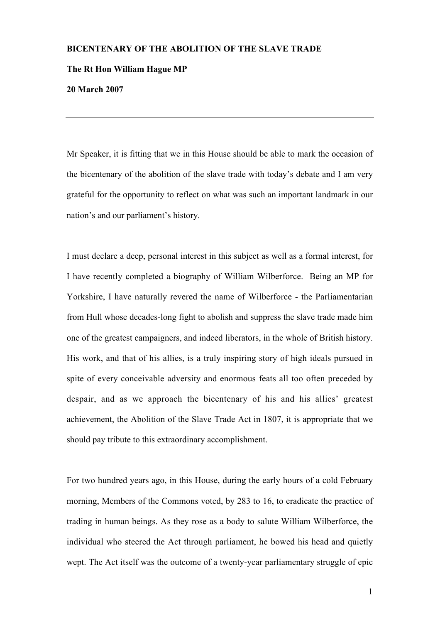## BICENTENARY OF THE ABOLITION OF THE SLAVE TRADE

## The Rt Hon William Hague MP

20 March 2007

Mr Speaker, it is fitting that we in this House should be able to mark the occasion of the bicentenary of the abolition of the slave trade with today's debate and I am very grateful for the opportunity to reflect on what was such an important landmark in our nation's and our parliament's history.

I must declare a deep, personal interest in this subject as well as a formal interest, for I have recently completed a biography of William Wilberforce. Being an MP for Yorkshire, I have naturally revered the name of Wilberforce - the Parliamentarian from Hull whose decades-long fight to abolish and suppress the slave trade made him one of the greatest campaigners, and indeed liberators, in the whole of British history. His work, and that of his allies, is a truly inspiring story of high ideals pursued in spite of every conceivable adversity and enormous feats all too often preceded by despair, and as we approach the bicentenary of his and his allies' greatest achievement, the Abolition of the Slave Trade Act in 1807, it is appropriate that we should pay tribute to this extraordinary accomplishment.

For two hundred years ago, in this House, during the early hours of a cold February morning, Members of the Commons voted, by 283 to 16, to eradicate the practice of trading in human beings. As they rose as a body to salute William Wilberforce, the individual who steered the Act through parliament, he bowed his head and quietly wept. The Act itself was the outcome of a twenty-year parliamentary struggle of epic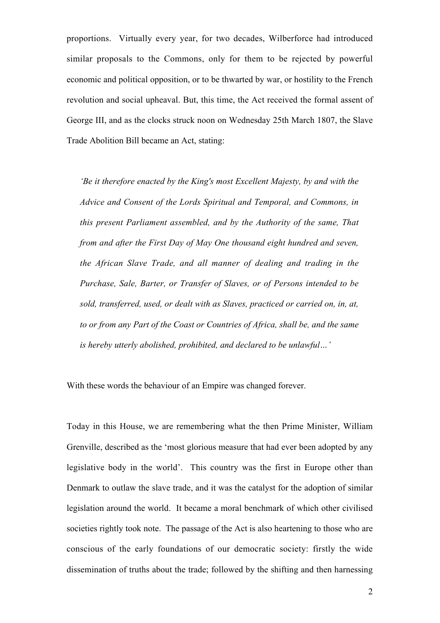proportions. Virtually every year, for two decades, Wilberforce had introduced similar proposals to the Commons, only for them to be rejected by powerful economic and political opposition, or to be thwarted by war, or hostility to the French revolution and social upheaval. But, this time, the Act received the formal assent of George III, and as the clocks struck noon on Wednesday 25th March 1807, the Slave Trade Abolition Bill became an Act, stating:

*'Be it therefore enacted by the King's most Excellent Majesty, by and with the Advice and Consent of the Lords Spiritual and Temporal, and Commons, in this present Parliament assembled, and by the Authority of the same, That from and after the First Day of May One thousand eight hundred and seven, the African Slave Trade, and all manner of dealing and trading in the Purchase, Sale, Barter, or Transfer of Slaves, or of Persons intended to be sold, transferred, used, or dealt with as Slaves, practiced or carried on, in, at, to or from any Part of the Coast or Countries of Africa, shall be, and the same is hereby utterly abolished, prohibited, and declared to be unlawful…'*

With these words the behaviour of an Empire was changed forever.

Today in this House, we are remembering what the then Prime Minister, William Grenville, described as the 'most glorious measure that had ever been adopted by any legislative body in the world'. This country was the first in Europe other than Denmark to outlaw the slave trade, and it was the catalyst for the adoption of similar legislation around the world. It became a moral benchmark of which other civilised societies rightly took note. The passage of the Act is also heartening to those who are conscious of the early foundations of our democratic society: firstly the wide dissemination of truths about the trade; followed by the shifting and then harnessing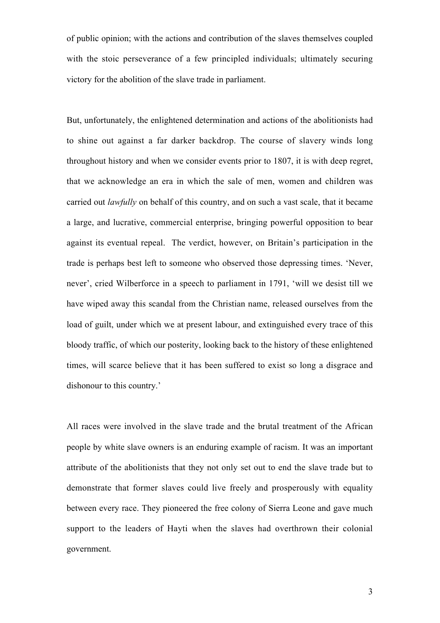of public opinion; with the actions and contribution of the slaves themselves coupled with the stoic perseverance of a few principled individuals; ultimately securing victory for the abolition of the slave trade in parliament.

But, unfortunately, the enlightened determination and actions of the abolitionists had to shine out against a far darker backdrop. The course of slavery winds long throughout history and when we consider events prior to 1807, it is with deep regret, that we acknowledge an era in which the sale of men, women and children was carried out *lawfully* on behalf of this country, and on such a vast scale, that it became a large, and lucrative, commercial enterprise, bringing powerful opposition to bear against its eventual repeal. The verdict, however, on Britain's participation in the trade is perhaps best left to someone who observed those depressing times. 'Never, never', cried Wilberforce in a speech to parliament in 1791, 'will we desist till we have wiped away this scandal from the Christian name, released ourselves from the load of guilt, under which we at present labour, and extinguished every trace of this bloody traffic, of which our posterity, looking back to the history of these enlightened times, will scarce believe that it has been suffered to exist so long a disgrace and dishonour to this country.'

All races were involved in the slave trade and the brutal treatment of the African people by white slave owners is an enduring example of racism. It was an important attribute of the abolitionists that they not only set out to end the slave trade but to demonstrate that former slaves could live freely and prosperously with equality between every race. They pioneered the free colony of Sierra Leone and gave much support to the leaders of Hayti when the slaves had overthrown their colonial government.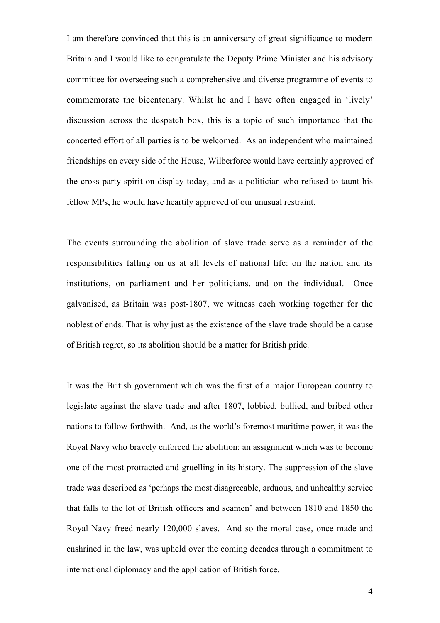I am therefore convinced that this is an anniversary of great significance to modern Britain and I would like to congratulate the Deputy Prime Minister and his advisory committee for overseeing such a comprehensive and diverse programme of events to commemorate the bicentenary. Whilst he and I have often engaged in 'lively' discussion across the despatch box, this is a topic of such importance that the concerted effort of all parties is to be welcomed. As an independent who maintained friendships on every side of the House, Wilberforce would have certainly approved of the cross-party spirit on display today, and as a politician who refused to taunt his fellow MPs, he would have heartily approved of our unusual restraint.

The events surrounding the abolition of slave trade serve as a reminder of the responsibilities falling on us at all levels of national life: on the nation and its institutions, on parliament and her politicians, and on the individual. Once galvanised, as Britain was post-1807, we witness each working together for the noblest of ends. That is why just as the existence of the slave trade should be a cause of British regret, so its abolition should be a matter for British pride.

It was the British government which was the first of a major European country to legislate against the slave trade and after 1807, lobbied, bullied, and bribed other nations to follow forthwith. And, as the world's foremost maritime power, it was the Royal Navy who bravely enforced the abolition: an assignment which was to become one of the most protracted and gruelling in its history. The suppression of the slave trade was described as 'perhaps the most disagreeable, arduous, and unhealthy service that falls to the lot of British officers and seamen' and between 1810 and 1850 the Royal Navy freed nearly 120,000 slaves. And so the moral case, once made and enshrined in the law, was upheld over the coming decades through a commitment to international diplomacy and the application of British force.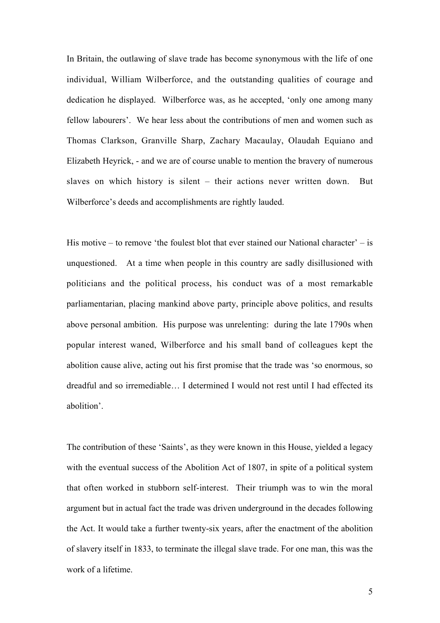In Britain, the outlawing of slave trade has become synonymous with the life of one individual, William Wilberforce, and the outstanding qualities of courage and dedication he displayed. Wilberforce was, as he accepted, 'only one among many fellow labourers'. We hear less about the contributions of men and women such as Thomas Clarkson, Granville Sharp, Zachary Macaulay, Olaudah Equiano and Elizabeth Heyrick, - and we are of course unable to mention the bravery of numerous slaves on which history is silent – their actions never written down. But Wilberforce's deeds and accomplishments are rightly lauded.

His motive – to remove 'the foulest blot that ever stained our National character' – is unquestioned. At a time when people in this country are sadly disillusioned with politicians and the political process, his conduct was of a most remarkable parliamentarian, placing mankind above party, principle above politics, and results above personal ambition. His purpose was unrelenting: during the late 1790s when popular interest waned, Wilberforce and his small band of colleagues kept the abolition cause alive, acting out his first promise that the trade was 'so enormous, so dreadful and so irremediable… I determined I would not rest until I had effected its abolition'.

The contribution of these 'Saints', as they were known in this House, yielded a legacy with the eventual success of the Abolition Act of 1807, in spite of a political system that often worked in stubborn self-interest. Their triumph was to win the moral argument but in actual fact the trade was driven underground in the decades following the Act. It would take a further twenty-six years, after the enactment of the abolition of slavery itself in 1833, to terminate the illegal slave trade. For one man, this was the work of a lifetime.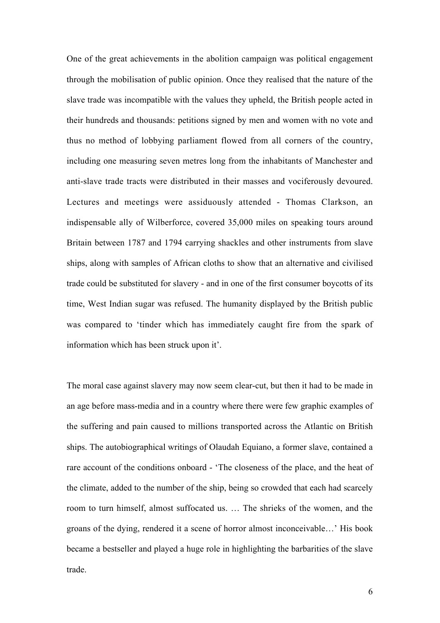One of the great achievements in the abolition campaign was political engagement through the mobilisation of public opinion. Once they realised that the nature of the slave trade was incompatible with the values they upheld, the British people acted in their hundreds and thousands: petitions signed by men and women with no vote and thus no method of lobbying parliament flowed from all corners of the country, including one measuring seven metres long from the inhabitants of Manchester and anti-slave trade tracts were distributed in their masses and vociferously devoured. Lectures and meetings were assiduously attended - Thomas Clarkson, an indispensable ally of Wilberforce, covered 35,000 miles on speaking tours around Britain between 1787 and 1794 carrying shackles and other instruments from slave ships, along with samples of African cloths to show that an alternative and civilised trade could be substituted for slavery - and in one of the first consumer boycotts of its time, West Indian sugar was refused. The humanity displayed by the British public was compared to 'tinder which has immediately caught fire from the spark of information which has been struck upon it'.

The moral case against slavery may now seem clear-cut, but then it had to be made in an age before mass-media and in a country where there were few graphic examples of the suffering and pain caused to millions transported across the Atlantic on British ships. The autobiographical writings of Olaudah Equiano, a former slave, contained a rare account of the conditions onboard - 'The closeness of the place, and the heat of the climate, added to the number of the ship, being so crowded that each had scarcely room to turn himself, almost suffocated us. … The shrieks of the women, and the groans of the dying, rendered it a scene of horror almost inconceivable…' His book became a bestseller and played a huge role in highlighting the barbarities of the slave trade.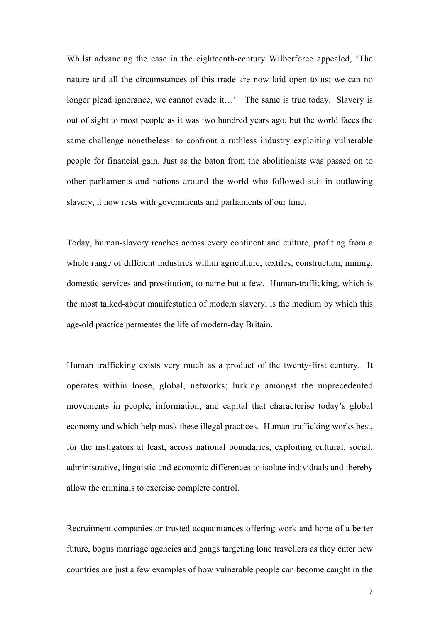Whilst advancing the case in the eighteenth-century Wilberforce appealed, 'The nature and all the circumstances of this trade are now laid open to us; we can no longer plead ignorance, we cannot evade it…' The same is true today. Slavery is out of sight to most people as it was two hundred years ago, but the world faces the same challenge nonetheless: to confront a ruthless industry exploiting vulnerable people for financial gain. Just as the baton from the abolitionists was passed on to other parliaments and nations around the world who followed suit in outlawing slavery, it now rests with governments and parliaments of our time.

Today, human-slavery reaches across every continent and culture, profiting from a whole range of different industries within agriculture, textiles, construction, mining, domestic services and prostitution, to name but a few. Human-trafficking, which is the most talked-about manifestation of modern slavery, is the medium by which this age-old practice permeates the life of modern-day Britain.

Human trafficking exists very much as a product of the twenty-first century. It operates within loose, global, networks; lurking amongst the unprecedented movements in people, information, and capital that characterise today's global economy and which help mask these illegal practices. Human trafficking works best, for the instigators at least, across national boundaries, exploiting cultural, social, administrative, linguistic and economic differences to isolate individuals and thereby allow the criminals to exercise complete control.

Recruitment companies or trusted acquaintances offering work and hope of a better future, bogus marriage agencies and gangs targeting lone travellers as they enter new countries are just a few examples of how vulnerable people can become caught in the

7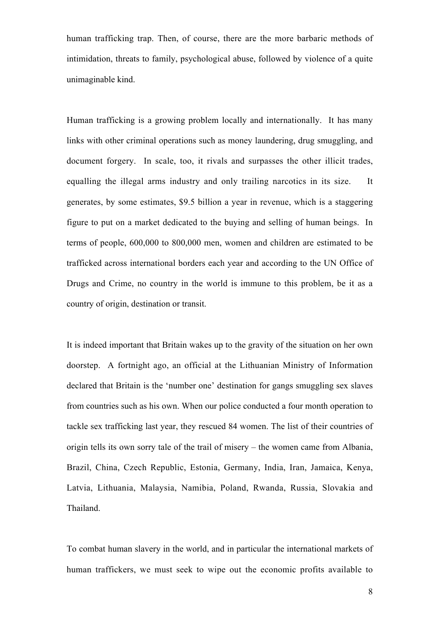human trafficking trap. Then, of course, there are the more barbaric methods of intimidation, threats to family, psychological abuse, followed by violence of a quite unimaginable kind.

Human trafficking is a growing problem locally and internationally. It has many links with other criminal operations such as money laundering, drug smuggling, and document forgery. In scale, too, it rivals and surpasses the other illicit trades, equalling the illegal arms industry and only trailing narcotics in its size. It generates, by some estimates, \$9.5 billion a year in revenue, which is a staggering figure to put on a market dedicated to the buying and selling of human beings. In terms of people, 600,000 to 800,000 men, women and children are estimated to be trafficked across international borders each year and according to the UN Office of Drugs and Crime, no country in the world is immune to this problem, be it as a country of origin, destination or transit.

It is indeed important that Britain wakes up to the gravity of the situation on her own doorstep. A fortnight ago, an official at the Lithuanian Ministry of Information declared that Britain is the 'number one' destination for gangs smuggling sex slaves from countries such as his own. When our police conducted a four month operation to tackle sex trafficking last year, they rescued 84 women. The list of their countries of origin tells its own sorry tale of the trail of misery – the women came from Albania, Brazil, China, Czech Republic, Estonia, Germany, India, Iran, Jamaica, Kenya, Latvia, Lithuania, Malaysia, Namibia, Poland, Rwanda, Russia, Slovakia and Thailand.

To combat human slavery in the world, and in particular the international markets of human traffickers, we must seek to wipe out the economic profits available to

8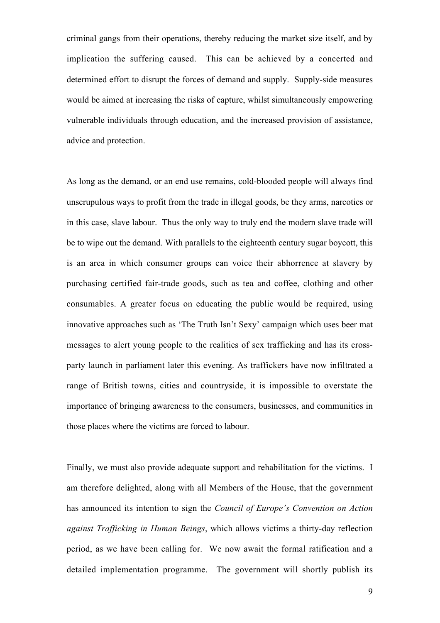criminal gangs from their operations, thereby reducing the market size itself, and by implication the suffering caused. This can be achieved by a concerted and determined effort to disrupt the forces of demand and supply. Supply-side measures would be aimed at increasing the risks of capture, whilst simultaneously empowering vulnerable individuals through education, and the increased provision of assistance, advice and protection.

As long as the demand, or an end use remains, cold-blooded people will always find unscrupulous ways to profit from the trade in illegal goods, be they arms, narcotics or in this case, slave labour. Thus the only way to truly end the modern slave trade will be to wipe out the demand. With parallels to the eighteenth century sugar boycott, this is an area in which consumer groups can voice their abhorrence at slavery by purchasing certified fair-trade goods, such as tea and coffee, clothing and other consumables. A greater focus on educating the public would be required, using innovative approaches such as 'The Truth Isn't Sexy' campaign which uses beer mat messages to alert young people to the realities of sex trafficking and has its crossparty launch in parliament later this evening. As traffickers have now infiltrated a range of British towns, cities and countryside, it is impossible to overstate the importance of bringing awareness to the consumers, businesses, and communities in those places where the victims are forced to labour.

Finally, we must also provide adequate support and rehabilitation for the victims. I am therefore delighted, along with all Members of the House, that the government has announced its intention to sign the *Council of Europe's Convention on Action against Trafficking in Human Beings*, which allows victims a thirty-day reflection period, as we have been calling for. We now await the formal ratification and a detailed implementation programme. The government will shortly publish its

9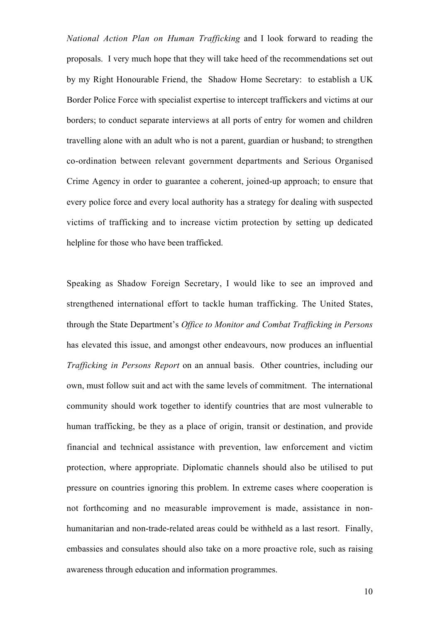*National Action Plan on Human Trafficking* and I look forward to reading the proposals. I very much hope that they will take heed of the recommendations set out by my Right Honourable Friend, the Shadow Home Secretary: to establish a UK Border Police Force with specialist expertise to intercept traffickers and victims at our borders; to conduct separate interviews at all ports of entry for women and children travelling alone with an adult who is not a parent, guardian or husband; to strengthen co-ordination between relevant government departments and Serious Organised Crime Agency in order to guarantee a coherent, joined-up approach; to ensure that every police force and every local authority has a strategy for dealing with suspected victims of trafficking and to increase victim protection by setting up dedicated helpline for those who have been trafficked.

Speaking as Shadow Foreign Secretary, I would like to see an improved and strengthened international effort to tackle human trafficking. The United States, through the State Department's *Office to Monitor and Combat Trafficking in Persons* has elevated this issue, and amongst other endeavours, now produces an influential *Trafficking in Persons Report* on an annual basis. Other countries, including our own, must follow suit and act with the same levels of commitment. The international community should work together to identify countries that are most vulnerable to human trafficking, be they as a place of origin, transit or destination, and provide financial and technical assistance with prevention, law enforcement and victim protection, where appropriate. Diplomatic channels should also be utilised to put pressure on countries ignoring this problem. In extreme cases where cooperation is not forthcoming and no measurable improvement is made, assistance in nonhumanitarian and non-trade-related areas could be withheld as a last resort. Finally, embassies and consulates should also take on a more proactive role, such as raising awareness through education and information programmes.